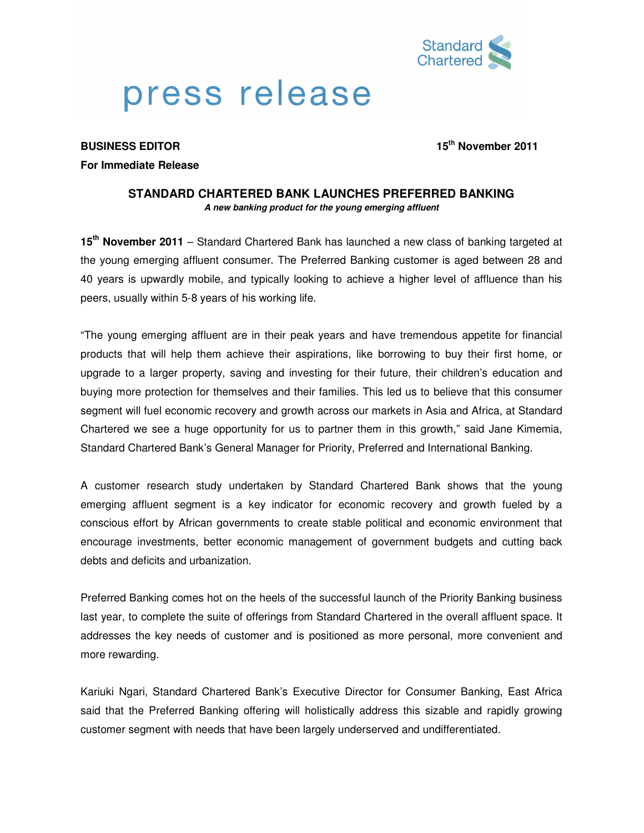

# press release

**BUSINESS EDITOR 15th November 2011** 

## **For Immediate Release**

## **STANDARD CHARTERED BANK LAUNCHES PREFERRED BANKING A new banking product for the young emerging affluent**

**15th November 2011** – Standard Chartered Bank has launched a new class of banking targeted at the young emerging affluent consumer. The Preferred Banking customer is aged between 28 and 40 years is upwardly mobile, and typically looking to achieve a higher level of affluence than his peers, usually within 5-8 years of his working life.

"The young emerging affluent are in their peak years and have tremendous appetite for financial products that will help them achieve their aspirations, like borrowing to buy their first home, or upgrade to a larger property, saving and investing for their future, their children's education and buying more protection for themselves and their families. This led us to believe that this consumer segment will fuel economic recovery and growth across our markets in Asia and Africa, at Standard Chartered we see a huge opportunity for us to partner them in this growth," said Jane Kimemia, Standard Chartered Bank's General Manager for Priority, Preferred and International Banking.

A customer research study undertaken by Standard Chartered Bank shows that the young emerging affluent segment is a key indicator for economic recovery and growth fueled by a conscious effort by African governments to create stable political and economic environment that encourage investments, better economic management of government budgets and cutting back debts and deficits and urbanization.

Preferred Banking comes hot on the heels of the successful launch of the Priority Banking business last year, to complete the suite of offerings from Standard Chartered in the overall affluent space. It addresses the key needs of customer and is positioned as more personal, more convenient and more rewarding.

Kariuki Ngari, Standard Chartered Bank's Executive Director for Consumer Banking, East Africa said that the Preferred Banking offering will holistically address this sizable and rapidly growing customer segment with needs that have been largely underserved and undifferentiated.